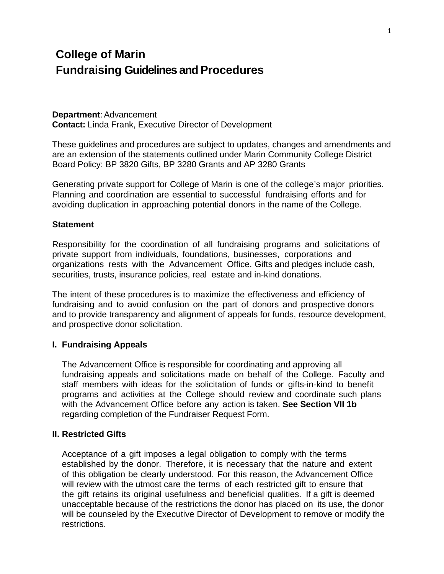# **College of Marin Fundraising Guidelines and Procedures**

#### **Department**: Advancement

**Contact:** Linda Frank, Executive Director of Development

These guidelines and procedures are subject to updates, changes and amendments and are an extension of the statements outlined under Marin Community College District Board Policy: BP 3820 Gifts, BP 3280 Grants and AP 3280 Grants

Generating private support for College of Marin is one of the college's major priorities. Planning and coordination are essential to successful fundraising efforts and for avoiding duplication in approaching potential donors in the name of the College.

#### **Statement**

Responsibility for the coordination of all fundraising programs and solicitations of private support from individuals, foundations, businesses, corporations and organizations rests with the Advancement Office. Gifts and pledges include cash, securities, trusts, insurance policies, real estate and in-kind donations.

The intent of these procedures is to maximize the effectiveness and efficiency of fundraising and to avoid confusion on the part of donors and prospective donors and to provide transparency and alignment of appeals for funds, resource development, and prospective donor solicitation.

#### **I. Fundraising Appeals**

The Advancement Office is responsible for coordinating and approving all fundraising appeals and solicitations made on behalf of the College. Faculty and staff members with ideas for the solicitation of funds or gifts-in-kind to benefit programs and activities at the College should review and coordinate such plans with the Advancement Office before any action is taken. **See Section VII 1b**  regarding completion of the Fundraiser Request Form.

#### **II. Restricted Gifts**

Acceptance of a gift imposes a legal obligation to comply with the terms established by the donor. Therefore, it is necessary that the nature and extent of this obligation be clearly understood. For this reason, the Advancement Office will review with the utmost care the terms of each restricted gift to ensure that the gift retains its original usefulness and beneficial qualities. If a gift is deemed unacceptable because of the restrictions the donor has placed on its use, the donor will be counseled by the Executive Director of Development to remove or modify the restrictions.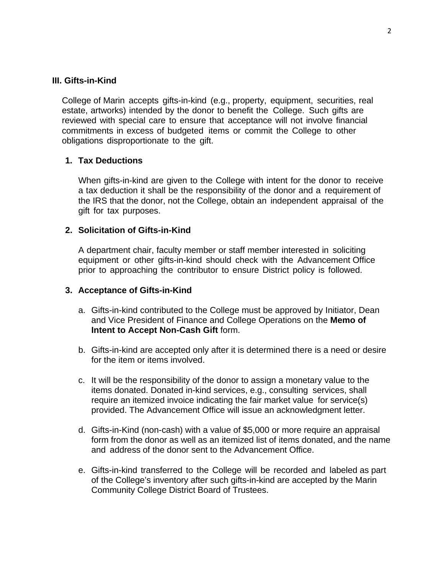## **III.Gifts-in-Kind**

College of Marin accepts gifts-in-kind (e.g., property, equipment, securities, real estate, artworks) intended by the donor to benefit the College. Such gifts are reviewed with special care to ensure that acceptance will not involve financial commitments in excess of budgeted items or commit the College to other obligations disproportionate to the gift.

## **1. Tax Deductions**

When gifts-in-kind are given to the College with intent for the donor to receive a tax deduction it shall be the responsibility of the donor and a requirement of the IRS that the donor, not the College, obtain an independent appraisal of the gift for tax purposes.

#### **2. Solicitation of Gifts-in-Kind**

A department chair, faculty member or staff member interested in soliciting equipment or other gifts-in-kind should check with the Advancement Office prior to approaching the contributor to ensure District policy is followed.

#### **3. Acceptance of Gifts-in-Kind**

- a. Gifts-in-kind contributed to the College must be approved by Initiator, Dean and Vice President of Finance and College Operations on the **Memo of Intent to Accept Non-Cash Gift** form.
- b. Gifts-in-kind are accepted only after it is determined there is a need or desire for the item or items involved.
- c. It will be the responsibility of the donor to assign a monetary value to the items donated. Donated in-kind services, e.g., consulting services, shall require an itemized invoice indicating the fair market value for service(s) provided. The Advancement Office will issue an acknowledgment letter.
- d. Gifts-in-Kind (non-cash) with a value of \$5,000 or more require an appraisal form from the donor as well as an itemized list of items donated, and the name and address of the donor sent to the Advancement Office.
- e. Gifts-in-kind transferred to the College will be recorded and labeled as part of the College's inventory after such gifts-in-kind are accepted by the Marin Community College District Board of Trustees.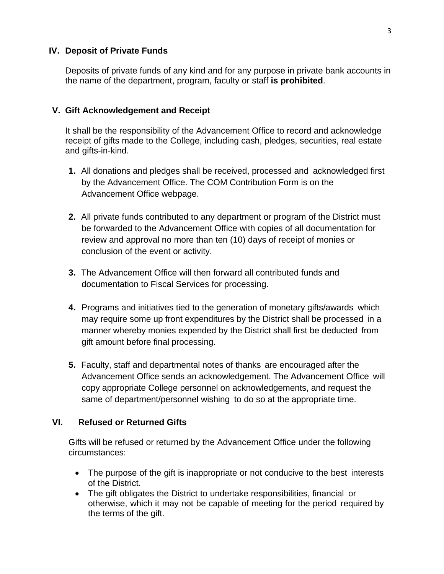## **IV. Deposit of Private Funds**

Deposits of private funds of any kind and for any purpose in private bank accounts in the name of the department, program, faculty or staff **is prohibited**.

## **V. Gift Acknowledgement and Receipt**

It shall be the responsibility of the Advancement Office to record and acknowledge receipt of gifts made to the College, including cash, pledges, securities, real estate and gifts-in-kind.

- **1.** All donations and pledges shall be received, processed and acknowledged first by the Advancement Office. The COM Contribution Form is on the Advancement Office webpage.
- **2.** All private funds contributed to any department or program of the District must be forwarded to the Advancement Office with copies of all documentation for review and approval no more than ten (10) days of receipt of monies or conclusion of the event or activity.
- **3.** The Advancement Office will then forward all contributed funds and documentation to Fiscal Services for processing.
- **4.** Programs and initiatives tied to the generation of monetary gifts/awards which may require some up front expenditures by the District shall be processed in a manner whereby monies expended by the District shall first be deducted from gift amount before final processing.
- **5.** Faculty, staff and departmental notes of thanks are encouraged after the Advancement Office sends an acknowledgement. The Advancement Office will copy appropriate College personnel on acknowledgements, and request the same of department/personnel wishing to do so at the appropriate time.

# **VI. Refused or Returned Gifts**

Gifts will be refused or returned by the Advancement Office under the following circumstances:

- The purpose of the gift is inappropriate or not conducive to the best interests of the District.
- The gift obligates the District to undertake responsibilities, financial or otherwise, which it may not be capable of meeting for the period required by the terms of the gift.